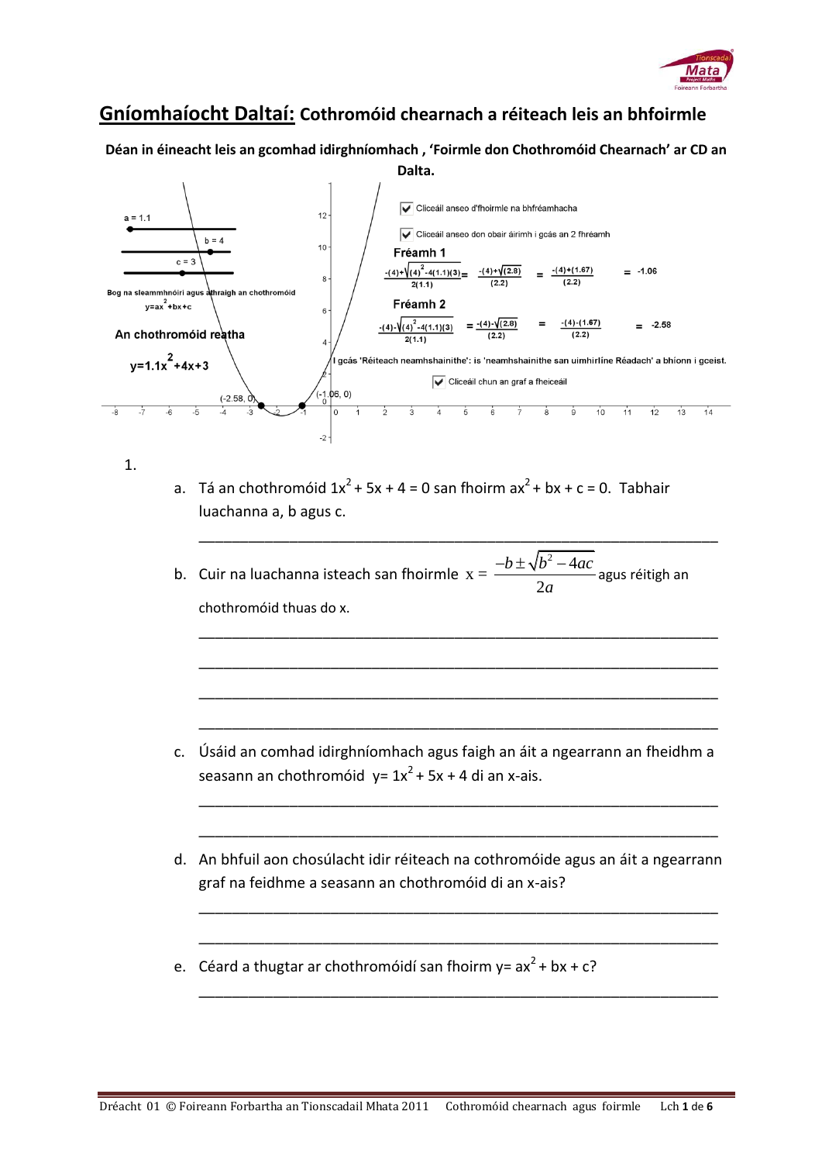

## **Gníomhaíocht Daltaí: Cothromóid chearnach a réiteach leis an bhfoirmle**

**Déan in éineacht leis an gcomhad idirghníomhach , 'Foirmle don Chothromóid Chearnach' ar CD an** 



1.

a. Tá an chothromóid  $1x^2 + 5x + 4 = 0$  san fhoirm  $ax^2 + bx + c = 0$ . Tabhair luachanna a, b agus c.

b. Cuir na luachanna isteach san fhoirmle  $x = \frac{-b \pm \sqrt{b^2 - 4}}{2}$ 2  $b \pm \sqrt{b^2 - 4ac}$ *a*  $\frac{-b\pm\sqrt{b^2-4ac}}{a}$ agus réitigh an chothromóid thuas do x.

\_\_\_\_\_\_\_\_\_\_\_\_\_\_\_\_\_\_\_\_\_\_\_\_\_\_\_\_\_\_\_\_\_\_\_\_\_\_\_\_\_\_\_\_\_\_\_\_\_\_\_\_\_\_\_\_\_\_\_\_\_\_\_

\_\_\_\_\_\_\_\_\_\_\_\_\_\_\_\_\_\_\_\_\_\_\_\_\_\_\_\_\_\_\_\_\_\_\_\_\_\_\_\_\_\_\_\_\_\_\_\_\_\_\_\_\_\_\_\_\_\_\_\_\_\_\_

\_\_\_\_\_\_\_\_\_\_\_\_\_\_\_\_\_\_\_\_\_\_\_\_\_\_\_\_\_\_\_\_\_\_\_\_\_\_\_\_\_\_\_\_\_\_\_\_\_\_\_\_\_\_\_\_\_\_\_\_\_\_\_

\_\_\_\_\_\_\_\_\_\_\_\_\_\_\_\_\_\_\_\_\_\_\_\_\_\_\_\_\_\_\_\_\_\_\_\_\_\_\_\_\_\_\_\_\_\_\_\_\_\_\_\_\_\_\_\_\_\_\_\_\_\_\_

\_\_\_\_\_\_\_\_\_\_\_\_\_\_\_\_\_\_\_\_\_\_\_\_\_\_\_\_\_\_\_\_\_\_\_\_\_\_\_\_\_\_\_\_\_\_\_\_\_\_\_\_\_\_\_\_\_\_\_\_\_\_\_

\_\_\_\_\_\_\_\_\_\_\_\_\_\_\_\_\_\_\_\_\_\_\_\_\_\_\_\_\_\_\_\_\_\_\_\_\_\_\_\_\_\_\_\_\_\_\_\_\_\_\_\_\_\_\_\_\_\_\_\_\_\_\_

\_\_\_\_\_\_\_\_\_\_\_\_\_\_\_\_\_\_\_\_\_\_\_\_\_\_\_\_\_\_\_\_\_\_\_\_\_\_\_\_\_\_\_\_\_\_\_\_\_\_\_\_\_\_\_\_\_\_\_\_\_\_\_

\_\_\_\_\_\_\_\_\_\_\_\_\_\_\_\_\_\_\_\_\_\_\_\_\_\_\_\_\_\_\_\_\_\_\_\_\_\_\_\_\_\_\_\_\_\_\_\_\_\_\_\_\_\_\_\_\_\_\_\_\_\_\_

\_\_\_\_\_\_\_\_\_\_\_\_\_\_\_\_\_\_\_\_\_\_\_\_\_\_\_\_\_\_\_\_\_\_\_\_\_\_\_\_\_\_\_\_\_\_\_\_\_\_\_\_\_\_\_\_\_\_\_\_\_\_\_

\_\_\_\_\_\_\_\_\_\_\_\_\_\_\_\_\_\_\_\_\_\_\_\_\_\_\_\_\_\_\_\_\_\_\_\_\_\_\_\_\_\_\_\_\_\_\_\_\_\_\_\_\_\_\_\_\_\_\_\_\_\_\_

- c. Úsáid an comhad idirghníomhach agus faigh an áit a ngearrann an fheidhm a seasann an chothromóid  $y = 1x^2 + 5x + 4$  di an x-ais.
- d. An bhfuil aon chosúlacht idir réiteach na cothromóide agus an áit a ngearrann graf na feidhme a seasann an chothromóid di an x-ais?
- e. Céard a thugtar ar chothromóidí san fhoirm  $y= ax^2 + bx + c$ ?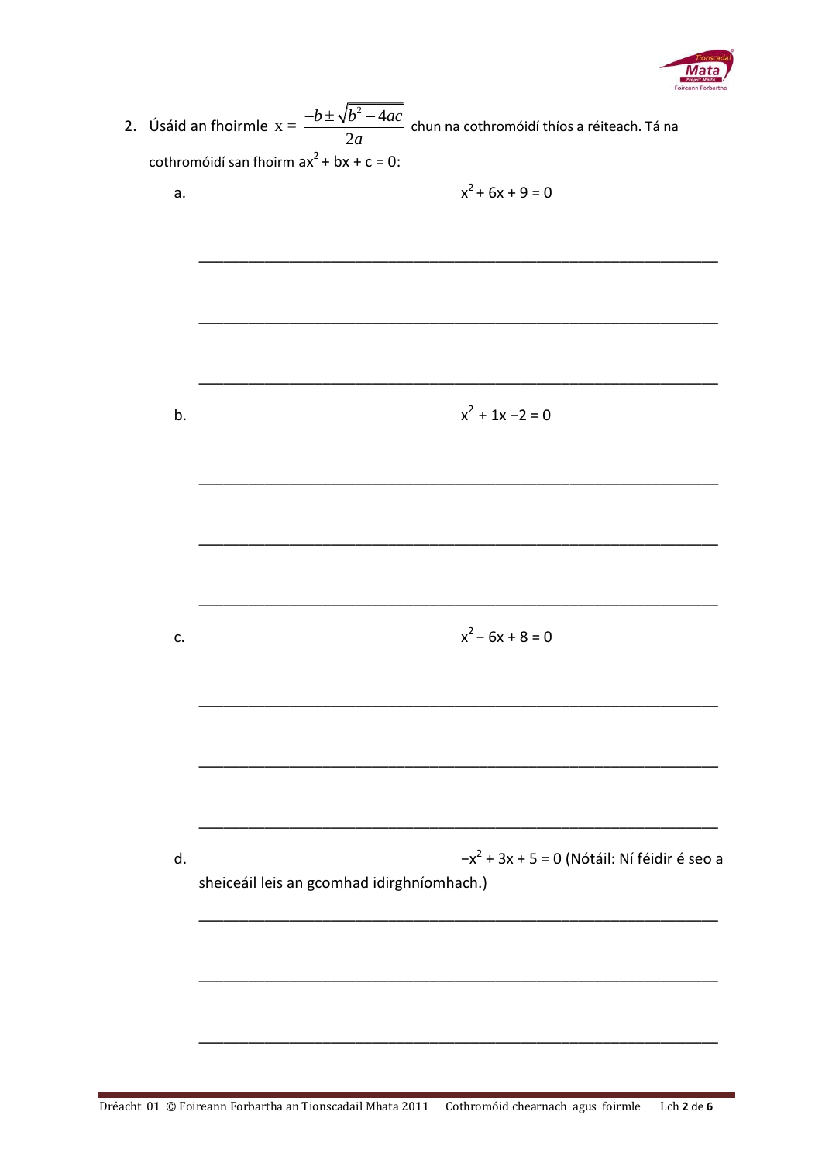| Tionscadal           |
|----------------------|
| Mata                 |
| <b>Project Maths</b> |
| Foireann Forbartha   |

|  |    | 2. Úsáid an fhoirmle $x = \frac{-b \pm \sqrt{b^2 - 4ac}}{2a}$ chun na cothromóidí thíos a réiteach. Tá na<br>cothromóidí san fhoirm $ax^2 + bx + c = 0$ : |
|--|----|-----------------------------------------------------------------------------------------------------------------------------------------------------------|
|  | a. | $x^2$ + 6x + 9 = 0                                                                                                                                        |
|  |    |                                                                                                                                                           |
|  |    |                                                                                                                                                           |
|  |    |                                                                                                                                                           |
|  |    |                                                                                                                                                           |
|  | b. | $x^2 + 1x - 2 = 0$                                                                                                                                        |
|  |    |                                                                                                                                                           |
|  |    |                                                                                                                                                           |
|  |    |                                                                                                                                                           |
|  |    |                                                                                                                                                           |
|  |    |                                                                                                                                                           |
|  | c. | $x^2 - 6x + 8 = 0$                                                                                                                                        |
|  |    |                                                                                                                                                           |
|  |    |                                                                                                                                                           |
|  |    |                                                                                                                                                           |
|  |    |                                                                                                                                                           |
|  | d. | $-x^2$ + 3x + 5 = 0 (Nótáil: Ní féidir é seo a<br>sheiceáil leis an gcomhad idirghníomhach.)                                                              |
|  |    |                                                                                                                                                           |
|  |    |                                                                                                                                                           |
|  |    |                                                                                                                                                           |
|  |    |                                                                                                                                                           |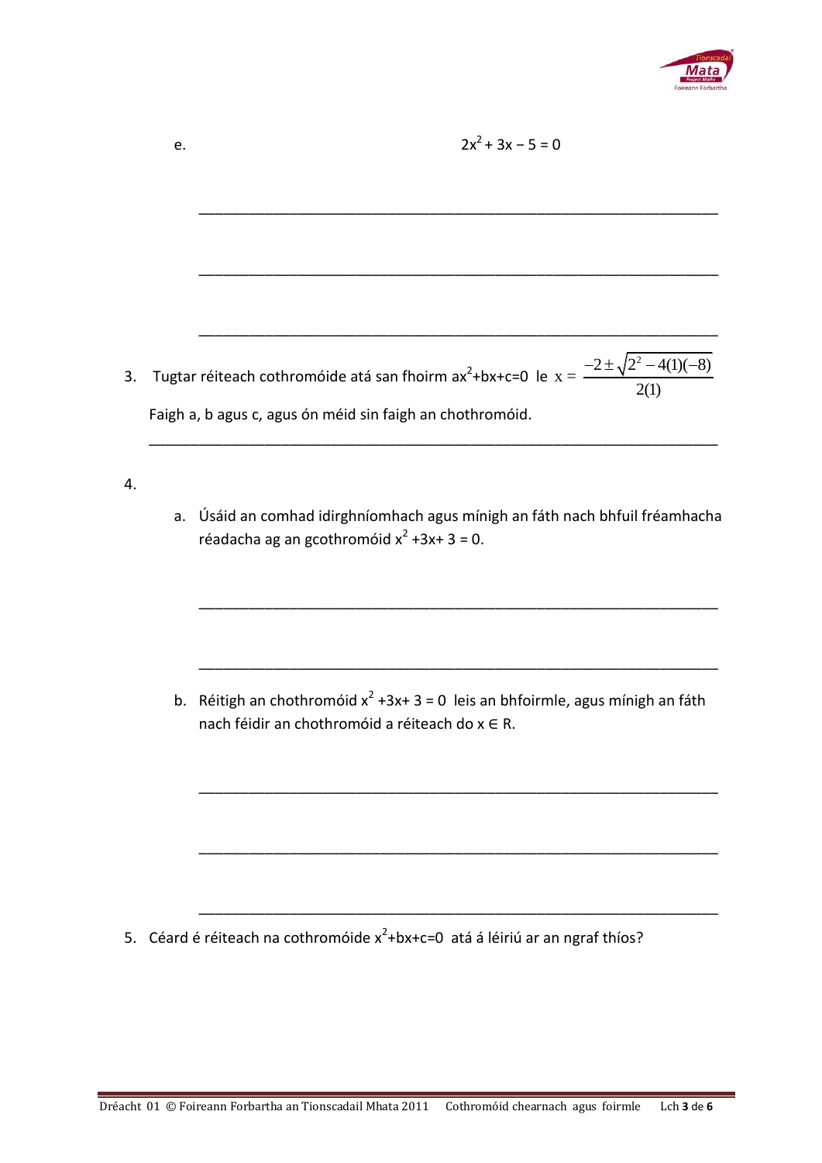

e.  $2x^2 + 3x - 5 = 0$ \_\_\_\_\_\_\_\_\_\_\_\_\_\_\_\_\_\_\_\_\_\_\_\_\_\_\_\_\_\_\_\_\_\_\_\_\_\_\_\_\_\_\_\_\_\_\_\_\_\_\_\_\_\_\_\_\_\_\_\_\_\_\_ \_\_\_\_\_\_\_\_\_\_\_\_\_\_\_\_\_\_\_\_\_\_\_\_\_\_\_\_\_\_\_\_\_\_\_\_\_\_\_\_\_\_\_\_\_\_\_\_\_\_\_\_\_\_\_\_\_\_\_\_\_\_\_ \_\_\_\_\_\_\_\_\_\_\_\_\_\_\_\_\_\_\_\_\_\_\_\_\_\_\_\_\_\_\_\_\_\_\_\_\_\_\_\_\_\_\_\_\_\_\_\_\_\_\_\_\_\_\_\_\_\_\_\_\_\_\_ 3. Tugtar réiteach cothromóide atá san fhoirm ax $2+bx+c=0$  le  $x = \frac{-2 \pm \sqrt{2^2 - 4(1)(-8)}}{2}$ 2(1)  $-2 \pm \sqrt{2^2 - 4(1)(-8)}$ Faigh a, b agus c, agus ón méid sin faigh an chothromóid. \_\_\_\_\_\_\_\_\_\_\_\_\_\_\_\_\_\_\_\_\_\_\_\_\_\_\_\_\_\_\_\_\_\_\_\_\_\_\_\_\_\_\_\_\_\_\_\_\_\_\_\_\_\_\_\_\_\_\_\_\_\_\_\_\_\_\_\_\_

4.

a. Úsáid an comhad idirghníomhach agus mínigh an fáth nach bhfuil fréamhacha réadacha ag an gcothromóid  $x^2 + 3x + 3 = 0$ .

\_\_\_\_\_\_\_\_\_\_\_\_\_\_\_\_\_\_\_\_\_\_\_\_\_\_\_\_\_\_\_\_\_\_\_\_\_\_\_\_\_\_\_\_\_\_\_\_\_\_\_\_\_\_\_\_\_\_\_\_\_\_\_

\_\_\_\_\_\_\_\_\_\_\_\_\_\_\_\_\_\_\_\_\_\_\_\_\_\_\_\_\_\_\_\_\_\_\_\_\_\_\_\_\_\_\_\_\_\_\_\_\_\_\_\_\_\_\_\_\_\_\_\_\_\_\_

\_\_\_\_\_\_\_\_\_\_\_\_\_\_\_\_\_\_\_\_\_\_\_\_\_\_\_\_\_\_\_\_\_\_\_\_\_\_\_\_\_\_\_\_\_\_\_\_\_\_\_\_\_\_\_\_\_\_\_\_\_\_\_

\_\_\_\_\_\_\_\_\_\_\_\_\_\_\_\_\_\_\_\_\_\_\_\_\_\_\_\_\_\_\_\_\_\_\_\_\_\_\_\_\_\_\_\_\_\_\_\_\_\_\_\_\_\_\_\_\_\_\_\_\_\_\_

\_\_\_\_\_\_\_\_\_\_\_\_\_\_\_\_\_\_\_\_\_\_\_\_\_\_\_\_\_\_\_\_\_\_\_\_\_\_\_\_\_\_\_\_\_\_\_\_\_\_\_\_\_\_\_\_\_\_\_\_\_\_\_

b. Réitigh an chothromóid  $x^2 + 3x + 3 = 0$  leis an bhfoirmle, agus mínigh an fáth nach féidir an chothromóid a réiteach do x ∈ R.

5. Céard é réiteach na cothromóide  $x^2$ +bx+c=0 atá á léiriú ar an ngraf thíos?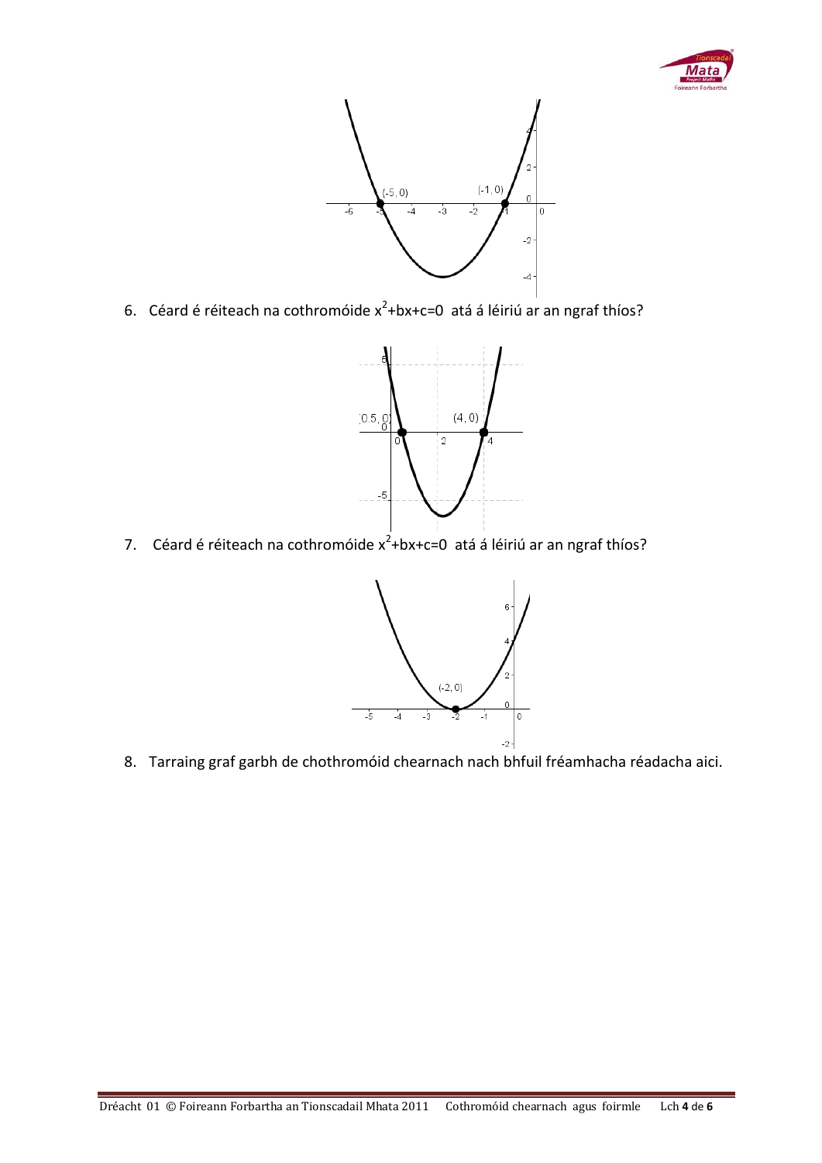



6. Céard é réiteach na cothromóide  $x^2$ +bx+c=0 atá á léiriú ar an ngraf thíos?



7. Céard é réiteach na cothromóide  $x^2 + bx + c = 0$  atá á léiriú ar an ngraf thíos?



8. Tarraing graf garbh de chothromóid chearnach nach bhfuil fréamhacha réadacha aici.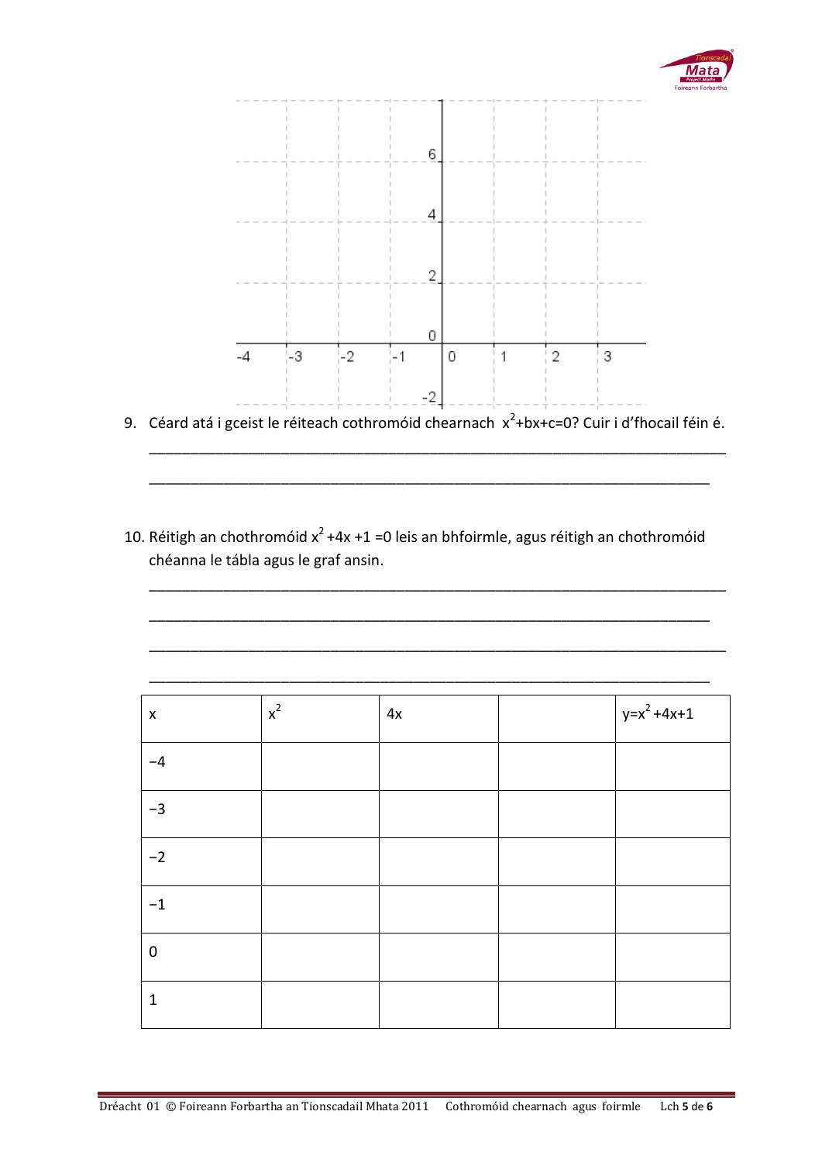



9. Céard atá i gceist le réiteach cothromóid chearnach  $x^2 + bx + c = 0$ ? Cuir i d'fhocail féin é.

\_\_\_\_\_\_\_\_\_\_\_\_\_\_\_\_\_\_\_\_\_\_\_\_\_\_\_\_\_\_\_\_\_\_\_\_\_\_\_\_\_\_\_\_\_\_\_\_\_\_\_\_\_\_\_\_\_\_\_\_\_\_\_\_\_\_\_\_\_\_

\_\_\_\_\_\_\_\_\_\_\_\_\_\_\_\_\_\_\_\_\_\_\_\_\_\_\_\_\_\_\_\_\_\_\_\_\_\_\_\_\_\_\_\_\_\_\_\_\_\_\_\_\_\_\_\_\_\_\_\_\_\_\_\_\_\_\_\_\_\_

\_\_\_\_\_\_\_\_\_\_\_\_\_\_\_\_\_\_\_\_\_\_\_\_\_\_\_\_\_\_\_\_\_\_\_\_\_\_\_\_\_\_\_\_\_\_\_\_\_\_\_\_\_\_\_\_\_\_\_\_\_\_\_\_\_\_\_\_\_\_

\_\_\_\_\_\_\_\_\_\_\_\_\_\_\_\_\_\_\_\_\_\_\_\_\_\_\_\_\_\_\_\_\_\_\_\_\_\_\_\_\_\_\_\_\_\_\_\_\_\_\_\_\_\_\_\_\_\_\_\_\_\_\_\_\_\_\_\_

\_\_\_\_\_\_\_\_\_\_\_\_\_\_\_\_\_\_\_\_\_\_\_\_\_\_\_\_\_\_\_\_\_\_\_\_\_\_\_\_\_\_\_\_\_\_\_\_\_\_\_\_\_\_\_\_\_\_\_\_\_\_\_\_\_\_\_\_

\_\_\_\_\_\_\_\_\_\_\_\_\_\_\_\_\_\_\_\_\_\_\_\_\_\_\_\_\_\_\_\_\_\_\_\_\_\_\_\_\_\_\_\_\_\_\_\_\_\_\_\_\_\_\_\_\_\_\_\_\_\_\_\_\_\_\_\_

10. Réitigh an chothromóid  $x^2 + 4x + 1 = 0$  leis an bhfoirmle, agus réitigh an chothromóid chéanna le tábla agus le graf ansin.

| $\pmb{\mathsf{X}}$ | $x^2$ | 4x | $ y=x^2+4x+1$ |
|--------------------|-------|----|---------------|
| $-4$               |       |    |               |
| $-3$               |       |    |               |
| $-2$               |       |    |               |
| $-1$               |       |    |               |
| $\boldsymbol{0}$   |       |    |               |
| $\mathbf{1}$       |       |    |               |